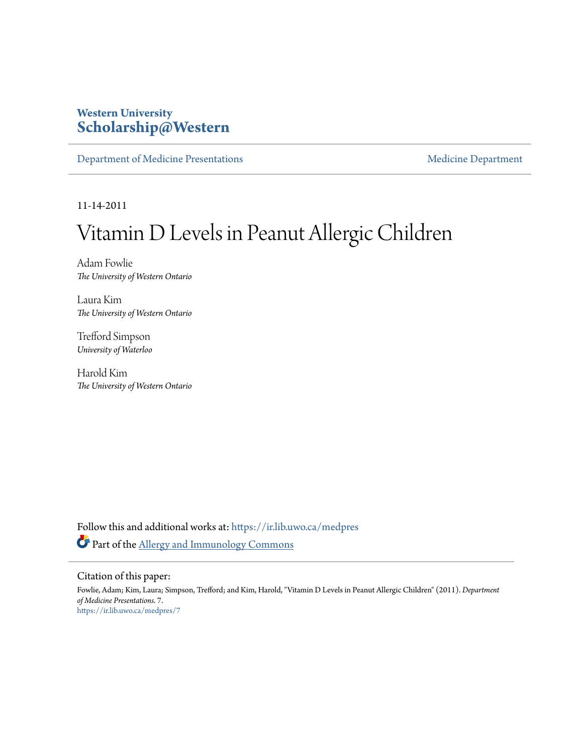### **Western University [Scholarship@Western](https://ir.lib.uwo.ca?utm_source=ir.lib.uwo.ca%2Fmedpres%2F7&utm_medium=PDF&utm_campaign=PDFCoverPages)**

[Department of Medicine Presentations](https://ir.lib.uwo.ca/medpres?utm_source=ir.lib.uwo.ca%2Fmedpres%2F7&utm_medium=PDF&utm_campaign=PDFCoverPages) [Medicine Department](https://ir.lib.uwo.ca/med?utm_source=ir.lib.uwo.ca%2Fmedpres%2F7&utm_medium=PDF&utm_campaign=PDFCoverPages)

11-14-2011

# Vitamin D Levels in Peanut Allergic Children

Adam Fowlie *The University of Western Ontario*

Laura Kim *The University of Western Ontario*

Trefford Simpson *University of Waterloo*

Harold Kim *The University of Western Ontario*

Follow this and additional works at: [https://ir.lib.uwo.ca/medpres](https://ir.lib.uwo.ca/medpres?utm_source=ir.lib.uwo.ca%2Fmedpres%2F7&utm_medium=PDF&utm_campaign=PDFCoverPages) Part of the [Allergy and Immunology Commons](http://network.bepress.com/hgg/discipline/681?utm_source=ir.lib.uwo.ca%2Fmedpres%2F7&utm_medium=PDF&utm_campaign=PDFCoverPages)

#### Citation of this paper:

Fowlie, Adam; Kim, Laura; Simpson, Trefford; and Kim, Harold, "Vitamin D Levels in Peanut Allergic Children" (2011). *Department of Medicine Presentations*. 7. [https://ir.lib.uwo.ca/medpres/7](https://ir.lib.uwo.ca/medpres/7?utm_source=ir.lib.uwo.ca%2Fmedpres%2F7&utm_medium=PDF&utm_campaign=PDFCoverPages)